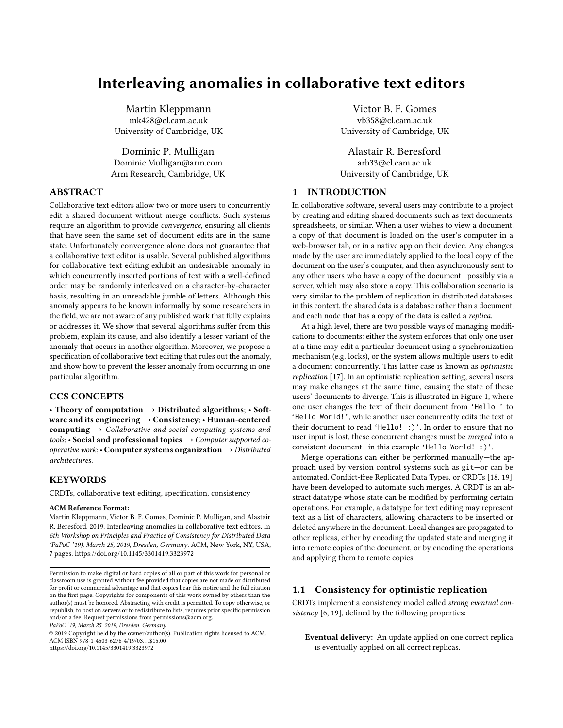# Interleaving anomalies in collaborative text editors

Martin Kleppmann mk428@cl.cam.ac.uk University of Cambridge, UK

Dominic P. Mulligan Dominic.Mulligan@arm.com Arm Research, Cambridge, UK

# ABSTRACT

Collaborative text editors allow two or more users to concurrently edit a shared document without merge conflicts. Such systems require an algorithm to provide convergence, ensuring all clients that have seen the same set of document edits are in the same state. Unfortunately convergence alone does not guarantee that a collaborative text editor is usable. Several published algorithms for collaborative text editing exhibit an undesirable anomaly in which concurrently inserted portions of text with a well-defined order may be randomly interleaved on a character-by-character basis, resulting in an unreadable jumble of letters. Although this anomaly appears to be known informally by some researchers in the field, we are not aware of any published work that fully explains or addresses it. We show that several algorithms suffer from this problem, explain its cause, and also identify a lesser variant of the anomaly that occurs in another algorithm. Moreover, we propose a specification of collaborative text editing that rules out the anomaly, and show how to prevent the lesser anomaly from occurring in one particular algorithm.

# CCS CONCEPTS

• Theory of computation  $\rightarrow$  Distributed algorithms; • Software and its engineering → Consistency; • Human-centered computing  $\rightarrow$  Collaborative and social computing systems and tools; • Social and professional topics  $\rightarrow$  Computer supported cooperative work; • Computer systems organization  $\rightarrow$  Distributed architectures.

## KEYWORDS

CRDTs, collaborative text editing, specification, consistency

#### ACM Reference Format:

Martin Kleppmann, Victor B. F. Gomes, Dominic P. Mulligan, and Alastair R. Beresford. 2019. Interleaving anomalies in collaborative text editors. In 6th Workshop on Principles and Practice of Consistency for Distributed Data (PaPoC '19), March 25, 2019, Dresden, Germany. ACM, New York, NY, USA, 7 pages.<https://doi.org/10.1145/3301419.3323972>

PaPoC '19, March 25, 2019, Dresden, Germany

© 2019 Copyright held by the owner/author(s). Publication rights licensed to ACM. ACM ISBN 978-1-4503-6276-4/19/03. . . \$15.00 <https://doi.org/10.1145/3301419.3323972>

Victor B. F. Gomes vb358@cl.cam.ac.uk University of Cambridge, UK

Alastair R. Beresford arb33@cl.cam.ac.uk University of Cambridge, UK

## 1 INTRODUCTION

In collaborative software, several users may contribute to a project by creating and editing shared documents such as text documents, spreadsheets, or similar. When a user wishes to view a document, a copy of that document is loaded on the user's computer in a web-browser tab, or in a native app on their device. Any changes made by the user are immediately applied to the local copy of the document on the user's computer, and then asynchronously sent to any other users who have a copy of the document—possibly via a server, which may also store a copy. This collaboration scenario is very similar to the problem of replication in distributed databases: in this context, the shared data is a database rather than a document, and each node that has a copy of the data is called a replica.

At a high level, there are two possible ways of managing modifications to documents: either the system enforces that only one user at a time may edit a particular document using a synchronization mechanism (e.g. locks), or the system allows multiple users to edit a document concurrently. This latter case is known as optimistic replication [\[17\]](#page-5-0). In an optimistic replication setting, several users may make changes at the same time, causing the state of these users' documents to diverge. This is illustrated in Figure [1,](#page-1-0) where one user changes the text of their document from 'Hello!' to 'Hello World!', while another user concurrently edits the text of their document to read 'Hello! :)'. In order to ensure that no user input is lost, these concurrent changes must be *merged* into a consistent document—in this example 'Hello World! :)'.

Merge operations can either be performed manually—the approach used by version control systems such as git—or can be automated. Conflict-free Replicated Data Types, or CRDTs [\[18,](#page-5-1) [19\]](#page-5-2), have been developed to automate such merges. A CRDT is an abstract datatype whose state can be modified by performing certain operations. For example, a datatype for text editing may represent text as a list of characters, allowing characters to be inserted or deleted anywhere in the document. Local changes are propagated to other replicas, either by encoding the updated state and merging it into remote copies of the document, or by encoding the operations and applying them to remote copies.

## 1.1 Consistency for optimistic replication

CRDTs implement a consistency model called strong eventual consistency  $[6, 19]$  $[6, 19]$ , defined by the following properties:

Eventual delivery: An update applied on one correct replica is eventually applied on all correct replicas.

Permission to make digital or hard copies of all or part of this work for personal or classroom use is granted without fee provided that copies are not made or distributed for profit or commercial advantage and that copies bear this notice and the full citation on the first page. Copyrights for components of this work owned by others than the author(s) must be honored. Abstracting with credit is permitted. To copy otherwise, or republish, to post on servers or to redistribute to lists, requires prior specific permission and/or a fee. Request permissions from permissions@acm.org.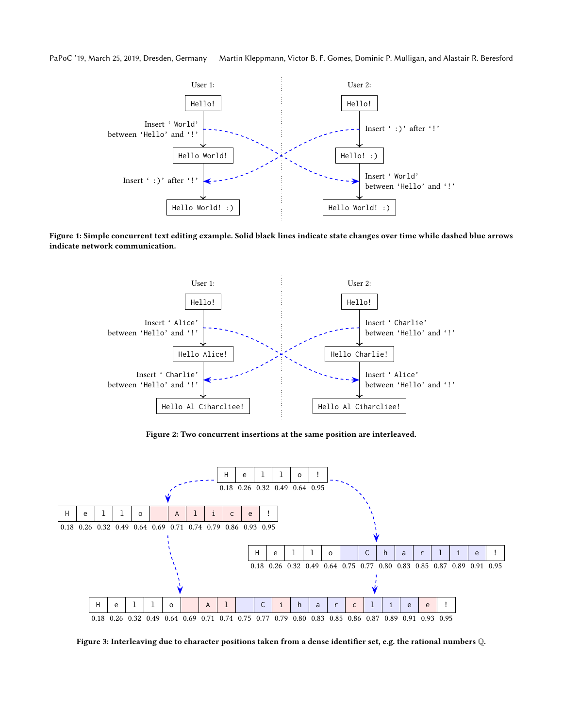<span id="page-1-0"></span>PaPoC '19, March 25, 2019, Dresden, Germany Martin Kleppmann, Victor B. F. Gomes, Dominic P. Mulligan, and Alastair R. Beresford



<span id="page-1-1"></span>Figure 1: Simple concurrent text editing example. Solid black lines indicate state changes over time while dashed blue arrows indicate network communication.



Figure 2: Two concurrent insertions at the same position are interleaved.

<span id="page-1-2"></span>

Figure 3: Interleaving due to character positions taken from a dense identifier set, e.g. the rational numbers Q.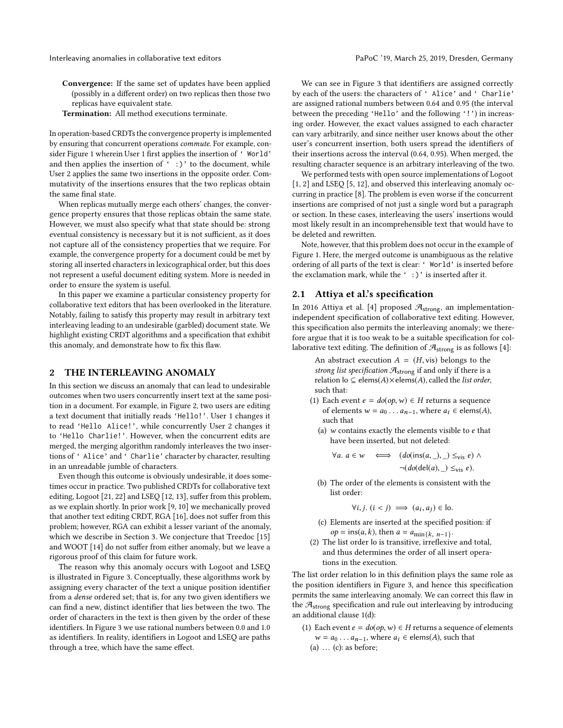Interleaving anomalies in collaborative text editors **PaPoC** '19, March 25, 2019, Dresden, Germany

- Convergence: If the same set of updates have been applied (possibly in a different order) on two replicas then those two replicas have equivalent state.
- Termination: All method executions terminate.

In operation-based CRDTs the convergence property is implemented by ensuring that concurrent operations commute. For example, consider Figure [1](#page-1-0) wherein User 1 first applies the insertion of ' World' and then applies the insertion of  $\lq$  :  $\lq$  to the document, while User 2 applies the same two insertions in the opposite order. Commutativity of the insertions ensures that the two replicas obtain the same final state.

When replicas mutually merge each others' changes, the convergence property ensures that those replicas obtain the same state. However, we must also specify what that state should be: strong eventual consistency is necessary but it is not sufficient, as it does not capture all of the consistency properties that we require. For example, the convergence property for a document could be met by storing all inserted characters in lexicographical order, but this does not represent a useful document editing system. More is needed in order to ensure the system is useful.

In this paper we examine a particular consistency property for collaborative text editors that has been overlooked in the literature. Notably, failing to satisfy this property may result in arbitrary text interleaving leading to an undesirable (garbled) document state. We highlight existing CRDT algorithms and a specification that exhibit this anomaly, and demonstrate how to fix this flaw.

#### <span id="page-2-0"></span>2 THE INTERLEAVING ANOMALY

In this section we discuss an anomaly that can lead to undesirable outcomes when two users concurrently insert text at the same position in a document. For example, in Figure [2,](#page-1-1) two users are editing a text document that initially reads 'Hello!'. User 1 changes it to read 'Hello Alice!', while concurrently User 2 changes it to 'Hello Charlie!'. However, when the concurrent edits are merged, the merging algorithm randomly interleaves the two insertions of ' Alice' and ' Charlie' character by character, resulting in an unreadable jumble of characters.

Even though this outcome is obviously undesirable, it does sometimes occur in practice. Two published CRDTs for collaborative text editing, Logoot [\[21,](#page-5-4) [22\]](#page-5-5) and LSEQ [\[12,](#page-5-6) [13\]](#page-5-7), suffer from this problem, as we explain shortly. In prior work [\[9,](#page-5-8) [10\]](#page-5-9) we mechanically proved that another text editing CRDT, RGA [\[16\]](#page-5-10), does not suffer from this problem; however, RGA can exhibit a lesser variant of the anomaly, which we describe in Section [3.](#page-3-0) We conjecture that Treedoc [\[15\]](#page-5-11) and WOOT [\[14\]](#page-5-12) do not suffer from either anomaly, but we leave a rigorous proof of this claim for future work.

The reason why this anomaly occurs with Logoot and LSEQ is illustrated in Figure [3.](#page-1-2) Conceptually, these algorithms work by assigning every character of the text a unique position identifier from a dense ordered set; that is, for any two given identifiers we can find a new, distinct identifier that lies between the two. The order of characters in the text is then given by the order of these identifiers. In Figure [3](#page-1-2) we use rational numbers between 0.0 and 1.0 as identifiers. In reality, identifiers in Logoot and LSEQ are paths through a tree, which have the same effect.

We can see in Figure [3](#page-1-2) that identifiers are assigned correctly by each of the users: the characters of ' Alice' and ' Charlie' are assigned rational numbers between 0.64 and 0.95 (the interval between the preceding 'Hello' and the following '!') in increasing order. However, the exact values assigned to each character can vary arbitrarily, and since neither user knows about the other user's concurrent insertion, both users spread the identifiers of their insertions across the interval (0.64, 0.95). When merged, the resulting character sequence is an arbitrary interleaving of the two.

We performed tests with open source implementations of Logoot [\[1,](#page-5-13) [2\]](#page-5-14) and LSEQ [\[5,](#page-5-15) [12\]](#page-5-6), and observed this interleaving anomaly occurring in practice [\[8\]](#page-5-16). The problem is even worse if the concurrent insertions are comprised of not just a single word but a paragraph or section. In these cases, interleaving the users' insertions would most likely result in an incomprehensible text that would have to be deleted and rewritten.

Note, however, that this problem does not occur in the example of Figure [1.](#page-1-0) Here, the merged outcome is unambiguous as the relative ordering of all parts of the text is clear: ' World' is inserted before the exclamation mark, while the ' :)' is inserted after it.

### <span id="page-2-1"></span>2.1 Attiya et al.'s specification

In 2016 Attiya et al. [\[4\]](#page-5-17) proposed  $\mathcal{A}_{\text{strong}}$ , an implementationindependent specification of collaborative text editing. However, this specification also permits the interleaving anomaly; we therefore argue that it is too weak to be a suitable specification for collaborative text editing. The definition of  $\mathcal{A}_{\text{strong}}$  is as follows [\[4\]](#page-5-17):

An abstract execution  $A = (H, \text{vis})$  belongs to the strong list specification  $\mathcal{A}_{\text{strong}}$  if and only if there is a relation  $\text{lo} \subseteq \text{elems}(A) \times \text{elems}(A)$ , called the *list order*, such that:

- (1) Each event  $e = do(op, w) \in H$  returns a sequence of elements  $w = a_0 \dots a_{n-1}$ , where  $a_i \in$  elems(A), such that
	- (a)  $w$  contains exactly the elements visible to  $e$  that have been inserted, but not deleted:

$$
\forall a. \ a \in w \iff (do(\text{ins}(a, \_), \_) \leq_{\text{vis}} e) \land \neg (do(\text{del}(a), \_) \leq_{\text{vis}} e).
$$

(b) The order of the elements is consistent with the list order:

$$
\forall i, j. \ (i < j) \implies (a_i, a_j) \in \text{lo}.
$$

- (c) Elements are inserted at the specified position: if  $op = \text{ins}(a, k)$ , then  $a = a_{\text{min}\{k, n-1\}}$ .
- (2) The list order lo is transitive, irreflexive and total, and thus determines the order of all insert operations in the execution.

The list order relation lo in this definition plays the same role as the position identifiers in Figure [3,](#page-1-2) and hence this specification permits the same interleaving anomaly. We can correct this flaw in the  $\mathcal{A}_{\text{strong}}$  specification and rule out interleaving by introducing an additional clause 1(d):

(1) Each event  $e = do(op, w) \in H$  returns a sequence of elements  $w = a_0 \dots a_{n-1}$ , where  $a_i \in \text{elements}(A)$ , such that (a)  $\dots$  (c): as before;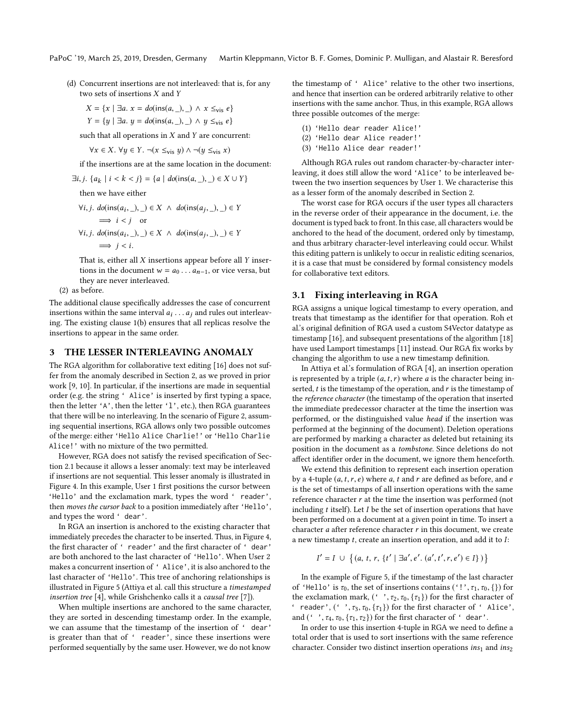(d) Concurrent insertions are not interleaved: that is, for any two sets of insertions X and Y

$$
X = \{x \mid \exists a. \ x = \text{do}(\text{ins}(a, \_), \_) \land x \leq_{\text{vis}} e\}
$$

$$
Y = \{y \mid \exists a.\ y = \text{do}(\text{ins}(a, \_), \_) \land y \leq_{\text{vis}} e\}
$$

such that all operations in  $X$  and  $Y$  are concurrent:

 $\forall x \in X$ .  $\forall y \in Y$ .  $\neg(x \leq_{\text{vis}} y) \land \neg(y \leq_{\text{vis}} x)$ 

if the insertions are at the same location in the document:

 $\sim$   $\sim$   $\sim$   $\sim$ 

$$
\exists i, j. \ \{a_k \mid i < k < j\} = \{a \mid \text{do}(\text{ins}(a, \_), \_) \in X \cup Y\}
$$

then we have either

$$
\forall i, j. \ do(\text{ins}(a_i, \_), \_) \in X \ \land \ do(\text{ins}(a_j, \_), \_) \in Y
$$
  
\n
$$
\implies i < j \quad \text{or}
$$
  
\n
$$
\forall i, j. \ do(\text{ins}(a_i, \_), \_) \in X \ \land \ do(\text{ins}(a_j, \_), \_) \in Y
$$
  
\n
$$
\implies j < i.
$$

That is, either all  $X$  insertions appear before all  $Y$  insertions in the document  $w = a_0 \dots a_{n-1}$ , or vice versa, but they are never interleaved.

(2) as before.

The additional clause specifically addresses the case of concurrent insertions within the same interval  $a_i \dots a_j$  and rules out interleav-<br>ing. The existing clause 1(b) ensures that all replicas resolve the ing. The existing clause 1(b) ensures that all replicas resolve the insertions to appear in the same order.

#### <span id="page-3-0"></span>3 THE LESSER INTERLEAVING ANOMALY

The RGA algorithm for collaborative text editing [\[16\]](#page-5-10) does not suffer from the anomaly described in Section [2,](#page-2-0) as we proved in prior work [\[9,](#page-5-8) [10\]](#page-5-9). In particular, if the insertions are made in sequential order (e.g. the string ' Alice' is inserted by first typing a space, then the letter 'A', then the letter 'l', etc.), then RGA guarantees that there will be no interleaving. In the scenario of Figure [2,](#page-1-1) assuming sequential insertions, RGA allows only two possible outcomes of the merge: either 'Hello Alice Charlie!' or 'Hello Charlie Alice!' with no mixture of the two permitted.

However, RGA does not satisfy the revised specification of Section [2.1](#page-2-1) because it allows a lesser anomaly: text may be interleaved if insertions are not sequential. This lesser anomaly is illustrated in Figure [4.](#page-4-0) In this example, User 1 first positions the cursor between 'Hello' and the exclamation mark, types the word ' reader', then moves the cursor back to a position immediately after 'Hello', and types the word ' dear'.

In RGA an insertion is anchored to the existing character that immediately precedes the character to be inserted. Thus, in Figure [4,](#page-4-0) the first character of ' reader' and the first character of ' dear' are both anchored to the last character of 'Hello'. When User 2 makes a concurrent insertion of ' Alice', it is also anchored to the last character of 'Hello'. This tree of anchoring relationships is illustrated in Figure [5](#page-4-1) (Attiya et al. call this structure a timestamped insertion tree [\[4\]](#page-5-17), while Grishchenko calls it a causal tree [\[7\]](#page-5-18)).

When multiple insertions are anchored to the same character, they are sorted in descending timestamp order. In the example, we can assume that the timestamp of the insertion of ' dear' is greater than that of ' reader', since these insertions were performed sequentially by the same user. However, we do not know

the timestamp of ' Alice' relative to the other two insertions, and hence that insertion can be ordered arbitrarily relative to other insertions with the same anchor. Thus, in this example, RGA allows three possible outcomes of the merge:

(1) 'Hello dear reader Alice!'

- (2) 'Hello dear Alice reader!'
- (3) 'Hello Alice dear reader!'

Although RGA rules out random character-by-character interleaving, it does still allow the word 'Alice' to be interleaved between the two insertion sequences by User 1. We characterise this as a lesser form of the anomaly described in Section [2.](#page-2-0)

The worst case for RGA occurs if the user types all characters in the reverse order of their appearance in the document, i.e. the document is typed back to front. In this case, all characters would be anchored to the head of the document, ordered only by timestamp, and thus arbitrary character-level interleaving could occur. Whilst this editing pattern is unlikely to occur in realistic editing scenarios, it is a case that must be considered by formal consistency models for collaborative text editors.

#### 3.1 Fixing interleaving in RGA

RGA assigns a unique logical timestamp to every operation, and treats that timestamp as the identifier for that operation. Roh et al.'s original definition of RGA used a custom S4Vector datatype as timestamp [\[16\]](#page-5-10), and subsequent presentations of the algorithm [\[18\]](#page-5-1) have used Lamport timestamps [\[11\]](#page-5-19) instead. Our RGA fix works by changing the algorithm to use a new timestamp definition.

In Attiya et al.'s formulation of RGA [\[4\]](#page-5-17), an insertion operation is represented by a triple  $(a, t, r)$  where a is the character being inserted,  $t$  is the timestamp of the operation, and  $r$  is the timestamp of the reference character (the timestamp of the operation that inserted the immediate predecessor character at the time the insertion was performed, or the distinguished value head if the insertion was performed at the beginning of the document). Deletion operations are performed by marking a character as deleted but retaining its position in the document as a tombstone. Since deletions do not affect identifier order in the document, we ignore them henceforth.

We extend this definition to represent each insertion operation by a 4-tuple  $(a, t, r, e)$  where a, t and r are defined as before, and e is the set of timestamps of all insertion operations with the same reference character  $r$  at the time the insertion was performed (not including  $t$  itself). Let  $I$  be the set of insertion operations that have been performed on a document at a given point in time. To insert a character  $a$  after reference character  $r$  in this document, we create a new timestamp  $t$ , create an insertion operation, and add it to  $I$ :

$$
I' = I \cup \{(a, t, r, \{t' \mid \exists a', e', (a', t', r, e') \in I\})\}
$$

In the example of Figure [5,](#page-4-1) if the timestamp of the last character of 'Hello' is  $\tau_0$ , the set of insertions contains ('!',  $\tau_1$ ,  $\tau_0$ , {}) for the exclamation mark,  $(′ , r<sub>2</sub>, r<sub>0</sub>, {τ<sub>1</sub>} )$  for the first character of ' reader',  $( ' ', \tau_3, \tau_0, \{\tau_1\})$  for the first character of 'Alice', and  $(′ \prime$ ,  $\tau_4$ ,  $\tau_0$ ,  $\{\tau_1, \tau_2\}$ ) for the first character of  $′$  dear'.

In order to use this insertion 4-tuple in RGA we need to define a total order that is used to sort insertions with the same reference character. Consider two distinct insertion operations  $ins_1$  and  $ins_2$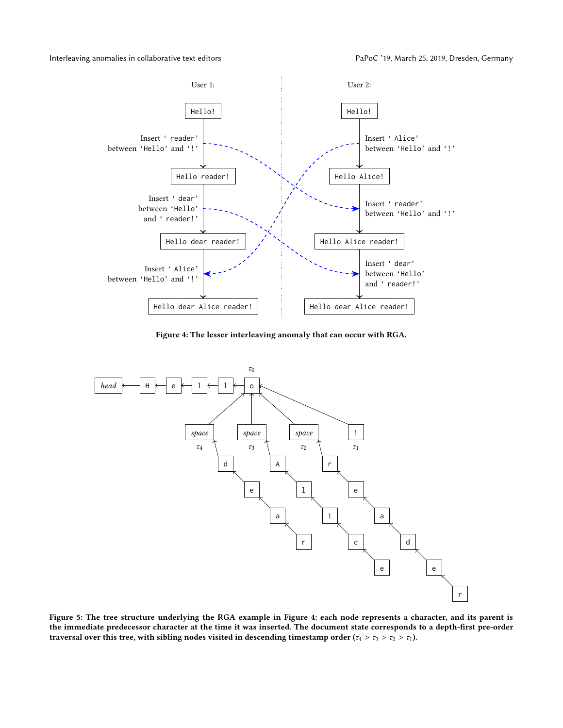<span id="page-4-0"></span>Interleaving anomalies in collaborative text editors **PaPoC** '19, March 25, 2019, Dresden, Germany



Figure 4: The lesser interleaving anomaly that can occur with RGA.

<span id="page-4-1"></span>

Figure 5: The tree structure underlying the RGA example in Figure [4:](#page-4-0) each node represents a character, and its parent is the immediate predecessor character at the time it was inserted. The document state corresponds to a depth-first pre-order traversal over this tree, with sibling nodes visited in descending timestamp order ( $\tau_4 > \tau_3 > \tau_2 > \tau_1$ ).